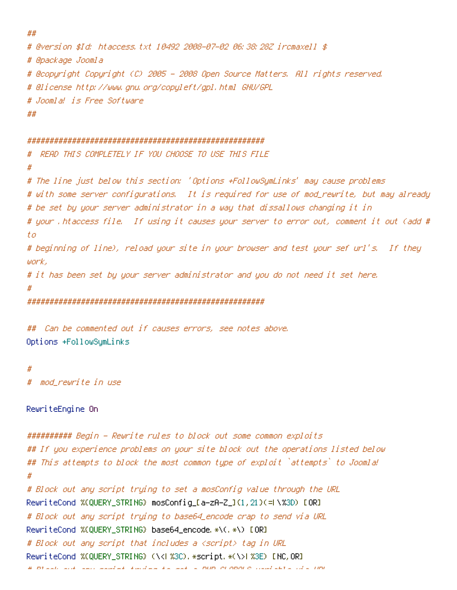```
##
# @version $Id: htaccess.txt 10492 2008-07-02 06:38:28Z ircmaxell $
# @package Joomla
# @copyright Copyright (C) 2005 - 2008 Open Source Matters. All rights reserved.
# @license http://www.gnu.org/copyleft/gpl.html GNU/GPL
# Joomla! is Free Software
##
#####################################################
# READ THIS COMPLETELY IF YOU CHOOSE TO USE THIS FILE
#
# The line just below this section: 'Options +FollowSymLinks' may cause problems
# with some server configurations. It is required for use of mod_rewrite, but may already
# be set by your server administrator in a way that dissallows changing it in
# your .htaccess file. If using it causes your server to error out, comment it out (add #
t<sub>0</sub># beginning of line), reload your site in your browser and test your sef url's. If they
work,
# it has been set by your server administrator and you do not need it set here.
#
#####################################################
## Can be commented out if causes errors, see notes above.
Options +FollowSymLinks
#
  mod rewrite in use
RewriteEngine On
########## Begin - Rewrite rules to block out some common exploits
## If you experience problems on your site block out the operations listed below
## This attempts to block the most common type of exploit `attempts` to Joomla!
#
# Block out any script trying to set a mosConfig value through the URL
RewriteCond %{QUERY_STRING} mosConfig_[a-zA-Z_]{1,21}(=|\%3D) [OR]
# Block out any script trying to base64_encode crap to send via URL
RewriteCond %{QUERY_STRING} base64_encode.*\(.*\) [OR]
# Block out any script that includes a <script> tag in URL
RewriteCond %{QUERY_STRING} (\<|%3C).*script.*(\>|%3E) [NC,OR]
# Block out any script trying to set a PHP GLOBALS variable via URL
```